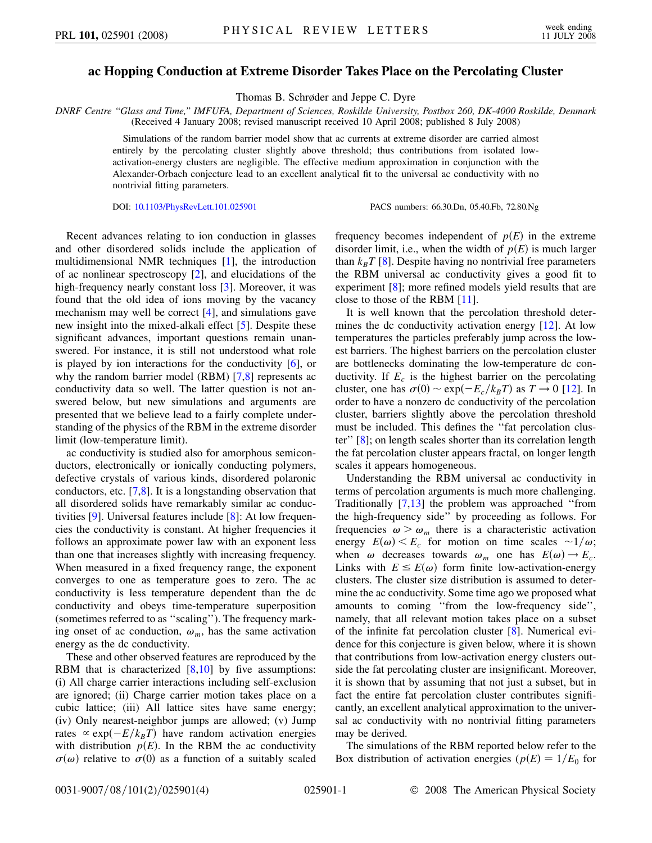## **ac Hopping Conduction at Extreme Disorder Takes Place on the Percolating Cluster**

Thomas B. Schrøder and Jeppe C. Dyre

*DNRF Centre ''Glass and Time,'' IMFUFA, Department of Sciences, Roskilde University, Postbox 260, DK-4000 Roskilde, Denmark* (Received 4 January 2008; revised manuscript received 10 April 2008; published 8 July 2008)

> Simulations of the random barrier model show that ac currents at extreme disorder are carried almost entirely by the percolating cluster slightly above threshold; thus contributions from isolated lowactivation-energy clusters are negligible. The effective medium approximation in conjunction with the Alexander-Orbach conjecture lead to an excellent analytical fit to the universal ac conductivity with no nontrivial fitting parameters.

DOI: [10.1103/PhysRevLett.101.025901](http://dx.doi.org/10.1103/PhysRevLett.101.025901) PACS numbers: 66.30.Dn, 05.40.Fb, 72.80.Ng

Recent advances relating to ion conduction in glasses and other disordered solids include the application of multidimensional NMR techniques [[1](#page-3-0)], the introduction of ac nonlinear spectroscopy [\[2](#page-3-1)], and elucidations of the high-frequency nearly constant loss [\[3](#page-3-2)]. Moreover, it was found that the old idea of ions moving by the vacancy mechanism may well be correct [[4\]](#page-3-3), and simulations gave new insight into the mixed-alkali effect [[5](#page-3-4)]. Despite these significant advances, important questions remain unanswered. For instance, it is still not understood what role is played by ion interactions for the conductivity [[6](#page-3-5)], or why the random barrier model (RBM) [\[7](#page-3-6)[,8](#page-3-7)] represents ac conductivity data so well. The latter question is not answered below, but new simulations and arguments are presented that we believe lead to a fairly complete understanding of the physics of the RBM in the extreme disorder limit (low-temperature limit).

ac conductivity is studied also for amorphous semiconductors, electronically or ionically conducting polymers, defective crystals of various kinds, disordered polaronic conductors, etc. [\[7](#page-3-6)[,8\]](#page-3-7). It is a longstanding observation that all disordered solids have remarkably similar ac conductivities [\[9\]](#page-3-8). Universal features include [\[8](#page-3-7)]: At low frequencies the conductivity is constant. At higher frequencies it follows an approximate power law with an exponent less than one that increases slightly with increasing frequency. When measured in a fixed frequency range, the exponent converges to one as temperature goes to zero. The ac conductivity is less temperature dependent than the dc conductivity and obeys time-temperature superposition (sometimes referred to as ''scaling''). The frequency marking onset of ac conduction,  $\omega_m$ , has the same activation energy as the dc conductivity.

These and other observed features are reproduced by the RBM that is characterized [[8,](#page-3-7)[10\]](#page-3-9) by five assumptions: (i) All charge carrier interactions including self-exclusion are ignored; (ii) Charge carrier motion takes place on a cubic lattice; (iii) All lattice sites have same energy; (iv) Only nearest-neighbor jumps are allowed; (v) Jump rates  $\propto \exp(-E/k_B T)$  have random activation energies with distribution  $p(E)$ . In the RBM the ac conductivity  $\sigma(\omega)$  relative to  $\sigma(0)$  as a function of a suitably scaled frequency becomes independent of  $p(E)$  in the extreme disorder limit, i.e., when the width of  $p(E)$  is much larger than  $k_B T$  [[8](#page-3-7)]. Despite having no nontrivial free parameters the RBM universal ac conductivity gives a good fit to experiment [[8\]](#page-3-7); more refined models yield results that are close to those of the RBM [\[11\]](#page-3-10).

It is well known that the percolation threshold deter-mines the dc conductivity activation energy [\[12\]](#page-3-11). At low temperatures the particles preferably jump across the lowest barriers. The highest barriers on the percolation cluster are bottlenecks dominating the low-temperature dc conductivity. If  $E_c$  is the highest barrier on the percolating cluster, one has  $\sigma(0) \sim \exp(-E_c/k_B T)$  as  $T \to 0$  [\[12\]](#page-3-11). In order to have a nonzero dc conductivity of the percolation cluster, barriers slightly above the percolation threshold must be included. This defines the ''fat percolation cluster'' [\[8](#page-3-7)]; on length scales shorter than its correlation length the fat percolation cluster appears fractal, on longer length scales it appears homogeneous.

Understanding the RBM universal ac conductivity in terms of percolation arguments is much more challenging. Traditionally [\[7,](#page-3-6)[13\]](#page-3-12) the problem was approached ''from the high-frequency side'' by proceeding as follows. For frequencies  $\omega > \omega_m$  there is a characteristic activation energy  $E(\omega) < E_c$  for motion on time scales  $\sim 1/\omega$ ; when  $\omega$  decreases towards  $\omega_m$  one has  $E(\omega) \rightarrow E_c$ . Links with  $E \leq E(\omega)$  form finite low-activation-energy clusters. The cluster size distribution is assumed to determine the ac conductivity. Some time ago we proposed what amounts to coming ''from the low-frequency side'', namely, that all relevant motion takes place on a subset of the infinite fat percolation cluster [\[8](#page-3-7)]. Numerical evidence for this conjecture is given below, where it is shown that contributions from low-activation energy clusters outside the fat percolating cluster are insignificant. Moreover, it is shown that by assuming that not just a subset, but in fact the entire fat percolation cluster contributes significantly, an excellent analytical approximation to the universal ac conductivity with no nontrivial fitting parameters may be derived.

The simulations of the RBM reported below refer to the Box distribution of activation energies ( $p(E) = 1/E_0$  for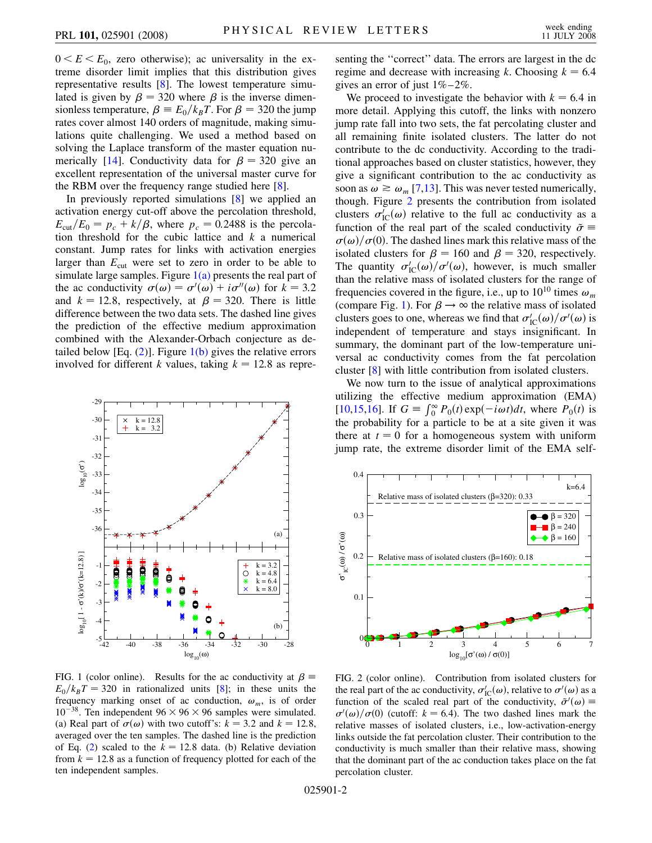$0 \le E \le E_0$ , zero otherwise); ac universality in the extreme disorder limit implies that this distribution gives representative results [\[8\]](#page-3-7). The lowest temperature simulated is given by  $\beta = 320$  where  $\beta$  is the inverse dimensionless temperature,  $\beta = E_0/k_B T$ . For  $\beta = 320$  the jump rates cover almost 140 orders of magnitude, making simulations quite challenging. We used a method based on solving the Laplace transform of the master equation nu-merically [\[14\]](#page-3-13). Conductivity data for  $\beta = 320$  give an excellent representation of the universal master curve for the RBM over the frequency range studied here [\[8\]](#page-3-7).

In previously reported simulations [[8](#page-3-7)] we applied an activation energy cut-off above the percolation threshold,  $E<sub>cut</sub>/E<sub>0</sub> = p<sub>c</sub> + k/\beta$ , where  $p<sub>c</sub> = 0.2488$  is the percolation threshold for the cubic lattice and *k* a numerical constant. Jump rates for links with activation energies larger than  $E_{\text{cut}}$  were set to zero in order to be able to simulate large samples. Figure  $1(a)$  presents the real part of the ac conductivity  $\sigma(\omega) = \sigma'(\omega) + i\sigma''(\omega)$  for  $k = 3.2$ and  $k = 12.8$ , respectively, at  $\beta = 320$ . There is little difference between the two data sets. The dashed line gives the prediction of the effective medium approximation combined with the Alexander-Orbach conjecture as detailed below [Eq.  $(2)$ ]. Figure [1\(b\)](#page-1-0) gives the relative errors involved for different *k* values, taking  $k = 12.8$  as repre-

<span id="page-1-2"></span>

<span id="page-1-0"></span>FIG. 1 (color online). Results for the ac conductivity at  $\beta \equiv$  $E_0/k_BT = 320$  in rationalized units [\[8](#page-3-7)]; in these units the frequency marking onset of ac conduction,  $\omega_m$ , is of order  $10^{-38}$ . Ten independent  $96 \times 96 \times 96$  samples were simulated. (a) Real part of  $\sigma(\omega)$  with two cutoff's:  $k = 3.2$  and  $k = 12.8$ , averaged over the ten samples. The dashed line is the prediction of Eq. ([2\)](#page-2-0) scaled to the  $k = 12.8$  data. (b) Relative deviation from  $k = 12.8$  as a function of frequency plotted for each of the ten independent samples.

senting the ''correct'' data. The errors are largest in the dc regime and decrease with increasing *k*. Choosing  $k = 6.4$ gives an error of just  $1\% - 2\%$ .

We proceed to investigate the behavior with  $k = 6.4$  in more detail. Applying this cutoff, the links with nonzero jump rate fall into two sets, the fat percolating cluster and all remaining finite isolated clusters. The latter do not contribute to the dc conductivity. According to the traditional approaches based on cluster statistics, however, they give a significant contribution to the ac conductivity as soon as  $\omega \ge \omega_m$  [\[7](#page-3-6)[,13\]](#page-3-12). This was never tested numerically, though. Figure [2](#page-1-1) presents the contribution from isolated clusters  $\sigma'_{\text{IC}}(\omega)$  relative to the full ac conductivity as a function of the real part of the scaled conductivity  $\tilde{\sigma}$  =  $\sigma(\omega)/\sigma(0)$ . The dashed lines mark this relative mass of the isolated clusters for  $\beta = 160$  and  $\beta = 320$ , respectively. The quantity  $\sigma'_{\text{IC}}(\omega)/\sigma'(\omega)$ , however, is much smaller than the relative mass of isolated clusters for the range of frequencies covered in the figure, i.e., up to  $10^{10}$  times  $\omega_m$ (compare Fig. [1\)](#page-1-2). For  $\beta \rightarrow \infty$  the relative mass of isolated clusters goes to one, whereas we find that  $\sigma'_{\rm IC}(\omega)/\sigma'(\omega)$  is independent of temperature and stays insignificant. In summary, the dominant part of the low-temperature universal ac conductivity comes from the fat percolation cluster [\[8\]](#page-3-7) with little contribution from isolated clusters.

We now turn to the issue of analytical approximations utilizing the effective medium approximation (EMA)  $[10,15,16]$  $[10,15,16]$  $[10,15,16]$  $[10,15,16]$ . If  $G = \int_0^\infty P_0(t) \exp(-i\omega t) dt$ , where  $P_0(t)$  is the probability for a particle to be at a site given it was there at  $t = 0$  for a homogeneous system with uniform jump rate, the extreme disorder limit of the EMA self-

<span id="page-1-1"></span>

FIG. 2 (color online). Contribution from isolated clusters for the real part of the ac conductivity,  $\sigma'_{\rm IC}(\omega)$ , relative to  $\sigma'(\omega)$  as a function of the scaled real part of the conductivity,  $\tilde{\sigma}'(\omega)$  =  $\sigma'(\omega)/\sigma(0)$  (cutoff:  $k = 6.4$ ). The two dashed lines mark the relative masses of isolated clusters, i.e., low-activation-energy links outside the fat percolation cluster. Their contribution to the conductivity is much smaller than their relative mass, showing that the dominant part of the ac conduction takes place on the fat percolation cluster.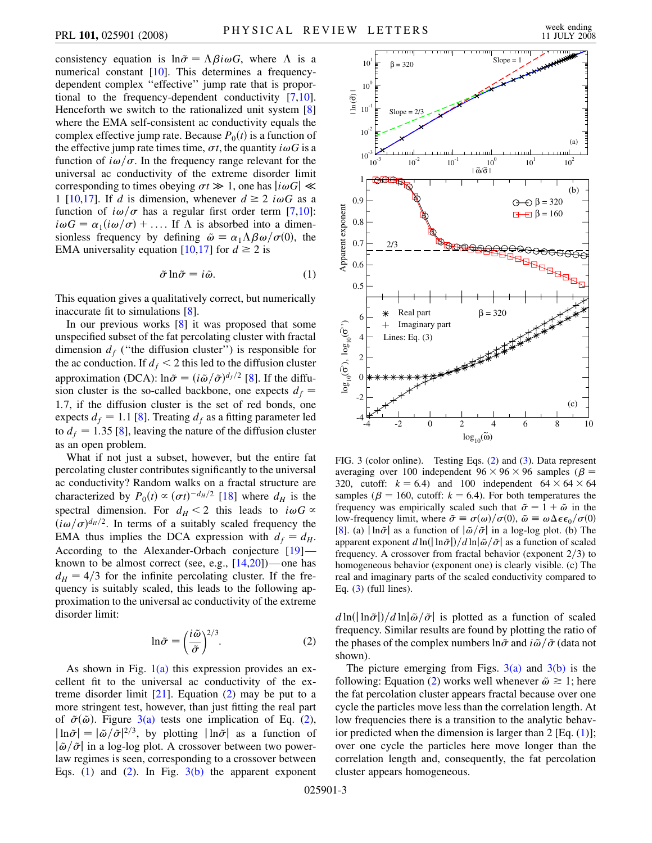consistency equation is  $ln \tilde{\sigma} = \Lambda \beta i \omega G$ , where  $\Lambda$  is a numerical constant [[10\]](#page-3-9). This determines a frequencydependent complex ''effective'' jump rate that is proportional to the frequency-dependent conductivity [[7](#page-3-6)[,10\]](#page-3-9). Henceforth we switch to the rationalized unit system [\[8\]](#page-3-7) where the EMA self-consistent ac conductivity equals the complex effective jump rate. Because  $P_0(t)$  is a function of the effective jump rate times time,  $\sigma t$ , the quantity  $i\omega G$  is a function of  $i\omega/\sigma$ . In the frequency range relevant for the universal ac conductivity of the extreme disorder limit corresponding to times obeying  $\sigma t \gg 1$ , one has  $|i\omega G| \ll$ 1 [[10](#page-3-9),[17](#page-3-16)]. If *d* is dimension, whenever  $d \ge 2$  *i* $\omega G$  as a function of  $i\omega/\sigma$  has a regular first order term [\[7,](#page-3-6)[10\]](#page-3-9):  $i\omega G = \alpha_1(i\omega/\sigma) + \dots$  If  $\Lambda$  is absorbed into a dimensionless frequency by defining  $\tilde{\omega} = \alpha_1 \Lambda \beta \omega / \sigma(0)$ , the EMA universality equation [\[10,](#page-3-9)[17\]](#page-3-16) for  $d \ge 2$  is

$$
\tilde{\sigma} \ln \tilde{\sigma} = i \tilde{\omega}.
$$
 (1)

<span id="page-2-2"></span>This equation gives a qualitatively correct, but numerically inaccurate fit to simulations [[8](#page-3-7)].

In our previous works [[8\]](#page-3-7) it was proposed that some unspecified subset of the fat percolating cluster with fractal dimension  $d_f$  ("the diffusion cluster") is responsible for the ac conduction. If  $d_f < 2$  this led to the diffusion cluster approximation (DCA):  $\ln \tilde{\sigma} = (i\tilde{\omega}/\tilde{\sigma})^{d_f/2}$  [[8\]](#page-3-7). If the diffusion cluster is the so-called backbone, one expects  $d_f$  = 1*:*7, if the diffusion cluster is the set of red bonds, one expects  $d_f = 1.1$  [[8\]](#page-3-7). Treating  $d_f$  as a fitting parameter led to  $d_f = 1.35$  [[8\]](#page-3-7), leaving the nature of the diffusion cluster as an open problem.

What if not just a subset, however, but the entire fat percolating cluster contributes significantly to the universal ac conductivity? Random walks on a fractal structure are characterized by  $P_0(t) \propto (\sigma t)^{-d_H/2}$  [[18](#page-3-17)] where  $d_H$  is the spectral dimension. For  $d_H < 2$  this leads to  $i\omega G \propto$  $(i\omega/\sigma)^{d_H/2}$ . In terms of a suitably scaled frequency the EMA thus implies the DCA expression with  $d_f = d_H$ . According to the Alexander-Orbach conjecture [[19](#page-3-18)] known to be almost correct (see, e.g.,  $[14,20]$  $[14,20]$ )—one has  $d_H = 4/3$  for the infinite percolating cluster. If the frequency is suitably scaled, this leads to the following approximation to the universal ac conductivity of the extreme disorder limit:

$$
\ln \tilde{\sigma} = \left(\frac{i\tilde{\omega}}{\tilde{\sigma}}\right)^{2/3}.
$$
 (2)

<span id="page-2-0"></span>As shown in Fig.  $1(a)$  this expression provides an excellent fit to the universal ac conductivity of the extreme disorder limit  $[21]$ . Equation  $(2)$  $(2)$  $(2)$  may be put to a more stringent test, however, than just fitting the real part of  $~\tilde{\sigma}(\tilde{\omega})$ . Figure [3\(a\)](#page-2-1) tests one implication of Eq. ([2\)](#page-2-0),  $|\ln \tilde{\sigma}| = |\tilde{\omega}/\tilde{\sigma}|^{2/3}$ , by plotting  $|\ln \tilde{\sigma}|$  as a function of  $|\tilde{\omega}/\tilde{\sigma}|$  in a log-log plot. A crossover between two powerlaw regimes is seen, corresponding to a crossover between Eqs. ([1](#page-2-2)) and [\(2](#page-2-0)). In Fig.  $3(b)$  the apparent exponent



<span id="page-2-1"></span>FIG. 3 (color online). Testing Eqs. ([2\)](#page-2-0) and [\(3](#page-3-21)). Data represent averaging over 100 independent  $96 \times 96 \times 96$  samples ( $\beta$  = 320, cutoff:  $k = 6.4$ ) and 100 independent  $64 \times 64 \times 64$ samples ( $\beta$  = 160, cutoff:  $k$  = 6.4). For both temperatures the frequency was empirically scaled such that  $\tilde{\sigma} = 1 + \tilde{\omega}$  in the low-frequency limit, where  $\tilde{\sigma} \equiv \sigma(\omega)/\sigma(0)$ ,  $\tilde{\omega} \equiv \omega \Delta \epsilon \epsilon_0/\sigma(0)$ [\[8\]](#page-3-7). (a)  $\ln \tilde{\sigma}$  as a function of  $\frac{\tilde{\omega}}{\tilde{\sigma}}$  in a log-log plot. (b) The apparent exponent  $d \ln(|\ln \tilde{\sigma}|)/d \ln |\tilde{\omega}/\tilde{\sigma}|$  as a function of scaled frequency. A crossover from fractal behavior (exponent  $2/3$ ) to homogeneous behavior (exponent one) is clearly visible. (c) The real and imaginary parts of the scaled conductivity compared to Eq.  $(3)$  (full lines).

 $d \ln (|\ln \tilde{\sigma}|)/d \ln |\tilde{\omega}/\tilde{\sigma}|$  is plotted as a function of scaled frequency. Similar results are found by plotting the ratio of the phases of the complex numbers  $\ln \tilde{\sigma}$  and  $i\tilde{\omega}/\tilde{\sigma}$  (data not shown).

The picture emerging from Figs.  $3(a)$  and  $3(b)$  is the following: Equation [\(2](#page-2-0)) works well whenever  $\tilde{\omega} \ge 1$ ; here the fat percolation cluster appears fractal because over one cycle the particles move less than the correlation length. At low frequencies there is a transition to the analytic behavior predicted when the dimension is larger than  $2 \text{ [Eq. (1)]};$  $2 \text{ [Eq. (1)]};$  $2 \text{ [Eq. (1)]};$ over one cycle the particles here move longer than the correlation length and, consequently, the fat percolation cluster appears homogeneous.